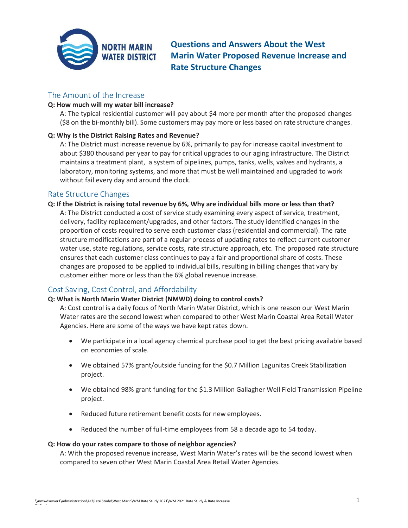

**Questions and Answers About the West Marin Water Proposed Revenue Increase and Rate Structure Changes**

## The Amount of the Increase

### **Q: How much will my water bill increase?**

A: The typical residential customer will pay about \$4 more per month after the proposed changes (\$8 on the bi-monthly bill). Some customers may pay more or less based on rate structure changes.

### **Q: Why Is the District Raising Rates and Revenue?**

A: The District must increase revenue by 6%, primarily to pay for increase capital investment to about \$380 thousand per year to pay for critical upgrades to our aging infrastructure. The District maintains a treatment plant, a system of pipelines, pumps, tanks, wells, valves and hydrants, a laboratory, monitoring systems, and more that must be well maintained and upgraded to work without fail every day and around the clock.

## Rate Structure Changes

### **Q: If the District is raising total revenue by 6%, Why are individual bills more or less than that?**

A: The District conducted a cost of service study examining every aspect of service, treatment, delivery, facility replacement/upgrades, and other factors. The study identified changes in the proportion of costs required to serve each customer class (residential and commercial). The rate structure modifications are part of a regular process of updating rates to reflect current customer water use, state regulations, service costs, rate structure approach, etc. The proposed rate structure ensures that each customer class continues to pay a fair and proportional share of costs. These changes are proposed to be applied to individual bills, resulting in billing changes that vary by customer either more or less than the 6% global revenue increase.

# Cost Saving, Cost Control, and Affordability

### **Q: What is North Marin Water District (NMWD) doing to control costs?**

A: Cost control is a daily focus of North Marin Water District, which is one reason our West Marin Water rates are the second lowest when compared to other West Marin Coastal Area Retail Water Agencies. Here are some of the ways we have kept rates down.

- We participate in a local agency chemical purchase pool to get the best pricing available based on economies of scale.
- We obtained 57% grant/outside funding for the \$0.7 Million Lagunitas Creek Stabilization project.
- We obtained 98% grant funding for the \$1.3 Million Gallagher Well Field Transmission Pipeline project.
- Reduced future retirement benefit costs for new employees.
- Reduced the number of full-time employees from 58 a decade ago to 54 today.

### **Q: How do your rates compare to those of neighbor agencies?**

A: With the proposed revenue increase, West Marin Water's rates will be the second lowest when compared to seven other West Marin Coastal Area Retail Water Agencies.

FAQs.docx